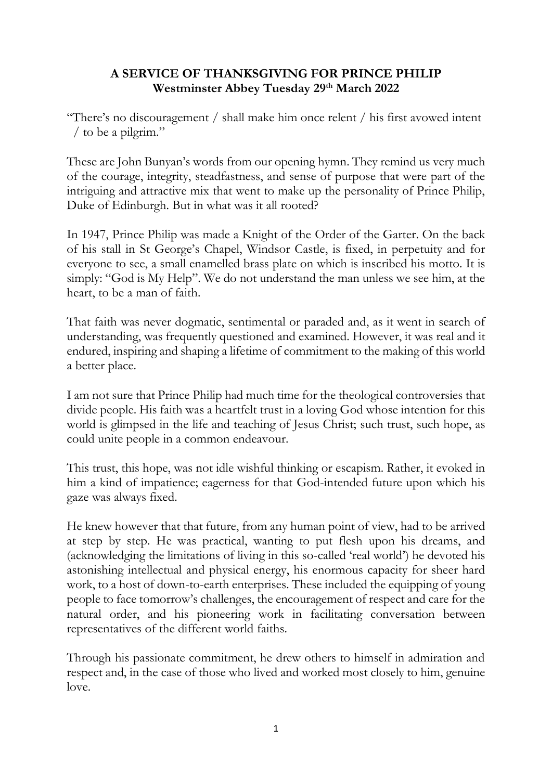## **A SERVICE OF THANKSGIVING FOR PRINCE PHILIP Westminster Abbey Tuesday 29th March 2022**

"There's no discouragement / shall make him once relent / his first avowed intent / to be a pilgrim."

These are John Bunyan's words from our opening hymn. They remind us very much of the courage, integrity, steadfastness, and sense of purpose that were part of the intriguing and attractive mix that went to make up the personality of Prince Philip, Duke of Edinburgh. But in what was it all rooted?

In 1947, Prince Philip was made a Knight of the Order of the Garter. On the back of his stall in St George's Chapel, Windsor Castle, is fixed, in perpetuity and for everyone to see, a small enamelled brass plate on which is inscribed his motto. It is simply: "God is My Help". We do not understand the man unless we see him, at the heart, to be a man of faith.

That faith was never dogmatic, sentimental or paraded and, as it went in search of understanding, was frequently questioned and examined. However, it was real and it endured, inspiring and shaping a lifetime of commitment to the making of this world a better place.

I am not sure that Prince Philip had much time for the theological controversies that divide people. His faith was a heartfelt trust in a loving God whose intention for this world is glimpsed in the life and teaching of Jesus Christ; such trust, such hope, as could unite people in a common endeavour.

This trust, this hope, was not idle wishful thinking or escapism. Rather, it evoked in him a kind of impatience; eagerness for that God-intended future upon which his gaze was always fixed.

He knew however that that future, from any human point of view, had to be arrived at step by step. He was practical, wanting to put flesh upon his dreams, and (acknowledging the limitations of living in this so-called 'real world') he devoted his astonishing intellectual and physical energy, his enormous capacity for sheer hard work, to a host of down-to-earth enterprises. These included the equipping of young people to face tomorrow's challenges, the encouragement of respect and care for the natural order, and his pioneering work in facilitating conversation between representatives of the different world faiths.

Through his passionate commitment, he drew others to himself in admiration and respect and, in the case of those who lived and worked most closely to him, genuine love.